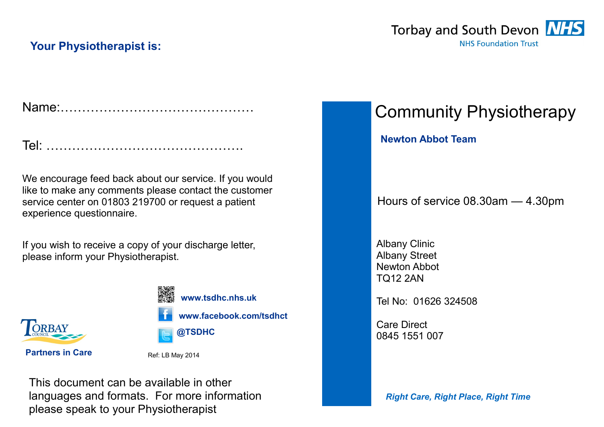# **Your Physiotherapist is:**



|--|--|--|

We encourage feed back about our service. If you would like to make any comments please contact the customer service center on 01803 219700 or request a patient experience questionnaire.

If you wish to receive a copy of your discharge letter, please inform your Physiotherapist.



**www.tsdhc.nhs.uk**

**www.facebook.com/tsdhct**



**Partners in Care** Ref: LB May 2014

This document can be available in other languages and formats. For more information please speak to your Physiotherapist

Community Physiotherapy

**Newton Abbot Team** 

Hours of service 08.30am — 4.30pm

Albany Clinic Albany Street Newton Abbot TQ12 2AN

Tel No: 01626 324508

Care Direct 0845 1551 007

*Right Care, Right Place, Right Time*